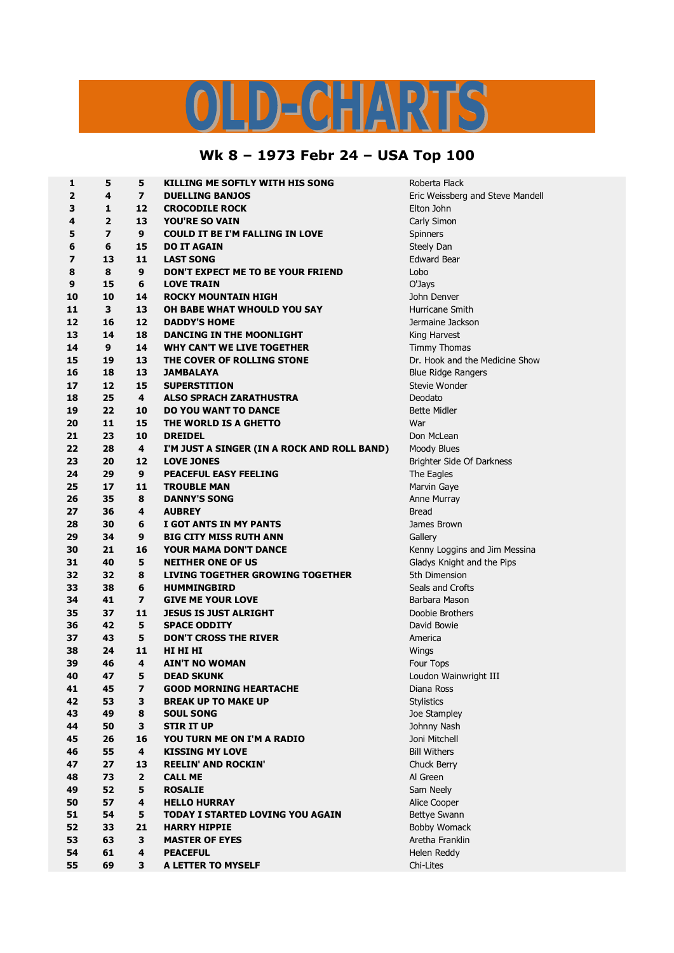## LD-CHARTS

## **Wk 8 – 1973 Febr 24 – USA Top 100**

| 1                       | 5              | 5                       | KILLING ME SOFTLY WITH HIS SONG             | Roberta Flack                    |  |
|-------------------------|----------------|-------------------------|---------------------------------------------|----------------------------------|--|
| 2                       | 4              | $\overline{ }$          | <b>DUELLING BANJOS</b>                      | Eric Weissberg and Steve Mandell |  |
| 3                       | 1              | 12                      | <b>CROCODILE ROCK</b>                       | Elton John                       |  |
| 4                       | $\overline{2}$ | 13                      | <b>YOU'RE SO VAIN</b>                       | Carly Simon                      |  |
| 5                       | 7              | 9                       | <b>COULD IT BE I'M FALLING IN LOVE</b>      | Spinners                         |  |
| 6                       | 6              | 15                      | <b>DO IT AGAIN</b>                          | Steely Dan                       |  |
| $\overline{\mathbf{z}}$ | 13             | 11                      | <b>LAST SONG</b>                            | <b>Edward Bear</b>               |  |
| 8                       | 8              | 9                       | DON'T EXPECT ME TO BE YOUR FRIEND           | Lobo                             |  |
| 9                       | 15             | 6                       | <b>LOVE TRAIN</b>                           | O'Jays                           |  |
| 10                      | 10             | 14                      | <b>ROCKY MOUNTAIN HIGH</b>                  | John Denver                      |  |
| 11                      | 3              | 13                      | OH BABE WHAT WHOULD YOU SAY                 | Hurricane Smith                  |  |
| 12                      | 16             | 12                      | <b>DADDY'S HOME</b>                         | Jermaine Jackson                 |  |
| 13                      | 14             | 18                      | DANCING IN THE MOONLIGHT                    | King Harvest                     |  |
| 14                      | 9              | 14                      | <b>WHY CAN'T WE LIVE TOGETHER</b>           | Timmy Thomas                     |  |
| 15                      | 19             | 13                      | THE COVER OF ROLLING STONE                  | Dr. Hook and the Medicine Show   |  |
| 16                      | 18             | 13                      | <b>JAMBALAYA</b>                            | <b>Blue Ridge Rangers</b>        |  |
| 17                      | 12             | 15                      | <b>SUPERSTITION</b>                         | Stevie Wonder                    |  |
| 18                      | 25             | 4                       | <b>ALSO SPRACH ZARATHUSTRA</b>              | Deodato                          |  |
| 19                      | 22             | 10                      | <b>DO YOU WANT TO DANCE</b>                 | <b>Bette Midler</b>              |  |
| 20                      | 11             | 15                      | THE WORLD IS A GHETTO                       | War                              |  |
| 21                      | 23             | 10                      | <b>DREIDEL</b>                              | Don McLean                       |  |
| 22                      | 28             | 4                       | I'M JUST A SINGER (IN A ROCK AND ROLL BAND) | Moody Blues                      |  |
| 23                      | 20             | 12                      | <b>LOVE JONES</b>                           | Brighter Side Of Darkness        |  |
| 24                      | 29             | 9                       | PEACEFUL EASY FEELING                       | The Eagles                       |  |
| 25                      | 17             | 11                      | <b>TROUBLE MAN</b>                          | Marvin Gaye                      |  |
| 26                      | 35             | 8                       | <b>DANNY'S SONG</b>                         | Anne Murray                      |  |
| 27                      | 36             | 4                       | <b>AUBREY</b>                               | <b>Bread</b>                     |  |
| 28                      | 30             | 6                       | I GOT ANTS IN MY PANTS                      | James Brown                      |  |
| 29                      | 34             | 9                       | <b>BIG CITY MISS RUTH ANN</b>               | Gallery                          |  |
| 30                      | 21             | 16                      | <b>YOUR MAMA DON'T DANCE</b>                | Kenny Loggins and Jim Messina    |  |
| 31                      | 40             | 5                       | <b>NEITHER ONE OF US</b>                    | Gladys Knight and the Pips       |  |
| 32                      | 32             | 8                       | <b>LIVING TOGETHER GROWING TOGETHER</b>     | 5th Dimension                    |  |
| 33                      | 38             | 6                       | <b>HUMMINGBIRD</b>                          | Seals and Crofts                 |  |
| 34                      | 41             | $\overline{\mathbf{z}}$ | <b>GIVE ME YOUR LOVE</b>                    | Barbara Mason                    |  |
| 35                      | 37             | 11                      | <b>JESUS IS JUST ALRIGHT</b>                | Doobie Brothers                  |  |
| 36                      | 42             | 5                       | <b>SPACE ODDITY</b>                         | David Bowie                      |  |
| 37                      | 43             | 5                       | <b>DON'T CROSS THE RIVER</b>                | America                          |  |
| 38                      | 24             | 11                      | HI HI HI                                    | Wings                            |  |
| 39                      | 46             | 4                       | <b>AIN'T NO WOMAN</b>                       | Four Tops                        |  |
| 40                      | 47             | 5                       | <b>DEAD SKUNK</b>                           | Loudon Wainwright III            |  |
| 41                      | 45             | 7                       | <b>GOOD MORNING HEARTACHE</b>               | Diana Ross                       |  |
| 42                      | 53             | 3                       | <b>BREAK UP TO MAKE UP</b>                  | <b>Stylistics</b>                |  |
| 43                      | 49             | 8                       | <b>SOUL SONG</b>                            | Joe Stampley                     |  |
| 44                      | 50             | 3                       | <b>STIR IT UP</b>                           | Johnny Nash                      |  |
| 45                      | 26             | 16                      | YOU TURN ME ON I'M A RADIO                  | Joni Mitchell                    |  |
| 46                      | 55             | $\overline{\mathbf{4}}$ | <b>KISSING MY LOVE</b>                      | <b>Bill Withers</b>              |  |
| 47                      | 27             | 13                      | <b>REELIN' AND ROCKIN'</b>                  | Chuck Berry                      |  |
| 48                      | 73             | $\overline{2}$          | <b>CALL ME</b>                              | Al Green                         |  |
| 49                      | 52             | 5                       | <b>ROSALIE</b>                              | Sam Neely                        |  |
| 50                      | 57             | 4                       | <b>HELLO HURRAY</b>                         | Alice Cooper                     |  |
| 51                      | 54             | 5                       | <b>TODAY I STARTED LOVING YOU AGAIN</b>     | Bettye Swann                     |  |
| 52                      | 33             | 21                      | <b>HARRY HIPPIE</b>                         | <b>Bobby Womack</b>              |  |
| 53                      | 63             | 3                       | <b>MASTER OF EYES</b>                       | Aretha Franklin                  |  |
| 54                      | 61             | 4                       | <b>PEACEFUL</b>                             | Helen Reddy                      |  |
| 55                      | 69             | 3                       | A LETTER TO MYSELF                          | Chi-Lites                        |  |